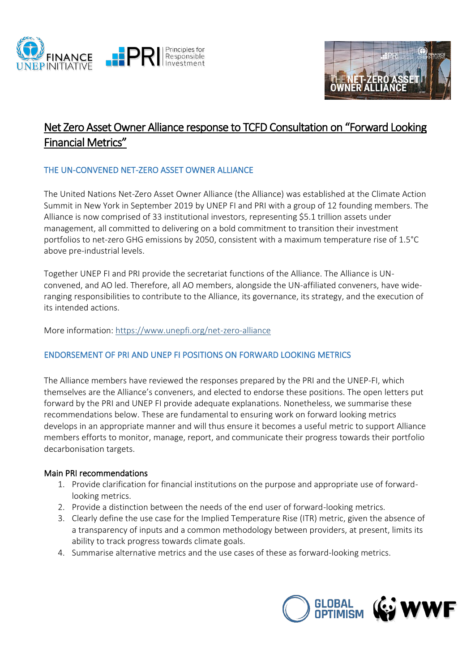



# Net Zero Asset Owner Alliance response to TCFD Consultation on "Forward Looking Financial Metrics"

# THE UN-CONVENED NET-ZERO ASSET OWNER ALLIANCE

The United Nations Net-Zero Asset Owner Alliance (the Alliance) was established at the Climate Action Summit in New York in September 2019 by UNEP FI and PRI with a group of 12 founding members. The Alliance is now comprised of 33 institutional investors, representing \$5.1 trillion assets under management, all committed to delivering on a bold commitment to transition their investment portfolios to net-zero GHG emissions by 2050, consistent with a maximum temperature rise of 1.5°C above pre-industrial levels.

Together UNEP FI and PRI provide the secretariat functions of the Alliance. The Alliance is UNconvened, and AO led. Therefore, all AO members, alongside the UN-affiliated conveners, have wideranging responsibilities to contribute to the Alliance, its governance, its strategy, and the execution of its intended actions.

More information: https://www.unepfi.org/net-zero-alliance

# ENDORSEMENT OF PRI AND UNEP FI POSITIONS ON FORWARD LOOKING METRICS

The Alliance members have reviewed the responses prepared by the PRI and the UNEP-FI, which themselves are the Alliance's conveners, and elected to endorse these positions. The open letters put forward by the PRI and UNEP FI provide adequate explanations. Nonetheless, we summarise these recommendations below. These are fundamental to ensuring work on forward looking metrics develops in an appropriate manner and will thus ensure it becomes a useful metric to support Alliance members efforts to monitor, manage, report, and communicate their progress towards their portfolio decarbonisation targets.

# Main PRI recommendations

- 1. Provide clarification for financial institutions on the purpose and appropriate use of forwardlooking metrics.
- 2. Provide a distinction between the needs of the end user of forward-looking metrics.
- 3. Clearly define the use case for the Implied Temperature Rise (ITR) metric, given the absence of a transparency of inputs and a common methodology between providers, at present, limits its ability to track progress towards climate goals.
- 4. Summarise alternative metrics and the use cases of these as forward-looking metrics.

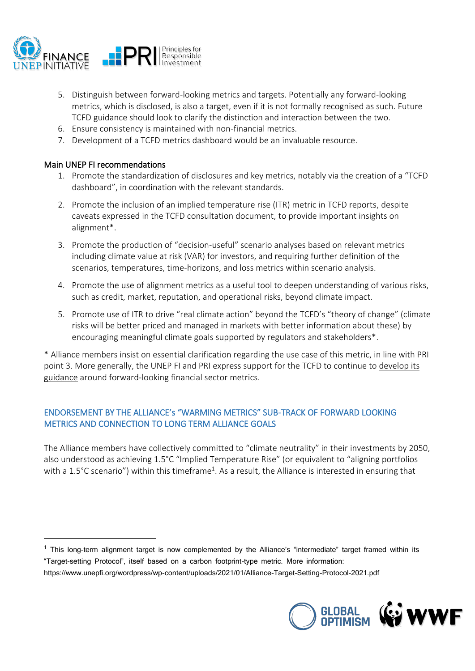

- 5. Distinguish between forward-looking metrics and targets. Potentially any forward-looking metrics, which is disclosed, is also a target, even if it is not formally recognised as such. Future TCFD guidance should look to clarify the distinction and interaction between the two.
- 6. Ensure consistency is maintained with non-financial metrics.
- 7. Development of a TCFD metrics dashboard would be an invaluable resource.

# Main UNEP FI recommendations

- 1. Promote the standardization of disclosures and key metrics, notably via the creation of a "TCFD dashboard", in coordination with the relevant standards.
- 2. Promote the inclusion of an implied temperature rise (ITR) metric in TCFD reports, despite caveats expressed in the TCFD consultation document, to provide important insights on alignment\*.
- 3. Promote the production of "decision-useful" scenario analyses based on relevant metrics including climate value at risk (VAR) for investors, and requiring further definition of the scenarios, temperatures, time-horizons, and loss metrics within scenario analysis.
- 4. Promote the use of alignment metrics as a useful tool to deepen understanding of various risks, such as credit, market, reputation, and operational risks, beyond climate impact.
- 5. Promote use of ITR to drive "real climate action" beyond the TCFD's "theory of change" (climate risks will be better priced and managed in markets with better information about these) by encouraging meaningful climate goals supported by regulators and stakeholders\*.

\* Alliance members insist on essential clarification regarding the use case of this metric, in line with PRI point 3. More generally, the UNEP FI and PRI express support for the TCFD to continue to develop its guidance around forward-looking financial sector metrics.

# ENDORSEMENT BY THE ALLIANCE's "WARMING METRICS" SUB-TRACK OF FORWARD LOOKING METRICS AND CONNECTION TO LONG TERM ALLIANCE GOALS

The Alliance members have collectively committed to "climate neutrality" in their investments by 2050, also understood as achieving 1.5°C "Implied Temperature Rise" (or equivalent to "aligning portfolios with a 1.5°C scenario") within this timeframe<sup>1</sup>. As a result, the Alliance is interested in ensuring that

https://www.unepfi.org/wordpress/wp-content/uploads/2021/01/Alliance-Target-Setting-Protocol-2021.pdf



<sup>1</sup> This long-term alignment target is now complemented by the Alliance's "intermediate" target framed within its "Target-setting Protocol", itself based on a carbon footprint-type metric. More information: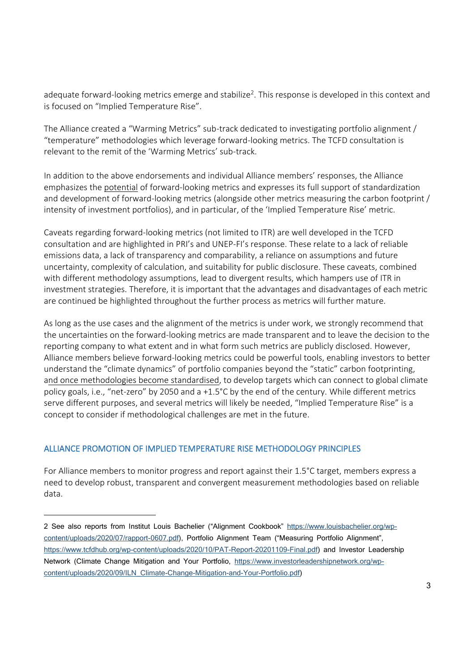adequate forward-looking metrics emerge and stabilize<sup>2</sup>. This response is developed in this context and is focused on "Implied Temperature Rise".

The Alliance created a "Warming Metrics" sub-track dedicated to investigating portfolio alignment / "temperature" methodologies which leverage forward-looking metrics. The TCFD consultation is relevant to the remit of the 'Warming Metrics' sub-track.

In addition to the above endorsements and individual Alliance members' responses, the Alliance emphasizes the potential of forward-looking metrics and expresses its full support of standardization and development of forward-looking metrics (alongside other metrics measuring the carbon footprint / intensity of investment portfolios), and in particular, of the 'Implied Temperature Rise' metric.

Caveats regarding forward-looking metrics (not limited to ITR) are well developed in the TCFD consultation and are highlighted in PRI's and UNEP-FI's response. These relate to a lack of reliable emissions data, a lack of transparency and comparability, a reliance on assumptions and future uncertainty, complexity of calculation, and suitability for public disclosure. These caveats, combined with different methodology assumptions, lead to divergent results, which hampers use of ITR in investment strategies. Therefore, it is important that the advantages and disadvantages of each metric are continued be highlighted throughout the further process as metrics will further mature.

As long as the use cases and the alignment of the metrics is under work, we strongly recommend that the uncertainties on the forward-looking metrics are made transparent and to leave the decision to the reporting company to what extent and in what form such metrics are publicly disclosed. However, Alliance members believe forward-looking metrics could be powerful tools, enabling investors to better understand the "climate dynamics" of portfolio companies beyond the "static" carbon footprinting, and once methodologies become standardised, to develop targets which can connect to global climate policy goals, i.e., "net-zero" by 2050 and a +1.5°C by the end of the century. While different metrics serve different purposes, and several metrics will likely be needed, "Implied Temperature Rise" is a concept to consider if methodological challenges are met in the future.

# ALLIANCE PROMOTION OF IMPLIED TEMPERATURE RISE METHODOLOGY PRINCIPLES

For Alliance members to monitor progress and report against their 1.5°C target, members express a need to develop robust, transparent and convergent measurement methodologies based on reliable data.

<sup>2</sup> See also reports from Institut Louis Bachelier ("Alignment Cookbook" https://www.louisbachelier.org/wpcontent/uploads/2020/07/rapport-0607.pdf), Portfolio Alignment Team ("Measuring Portfolio Alignment", https://www.tcfdhub.org/wp-content/uploads/2020/10/PAT-Report-20201109-Final.pdf) and Investor Leadership Network (Climate Change Mitigation and Your Portfolio, https://www.investorleadershipnetwork.org/wpcontent/uploads/2020/09/ILN\_Climate-Change-Mitigation-and-Your-Portfolio.pdf)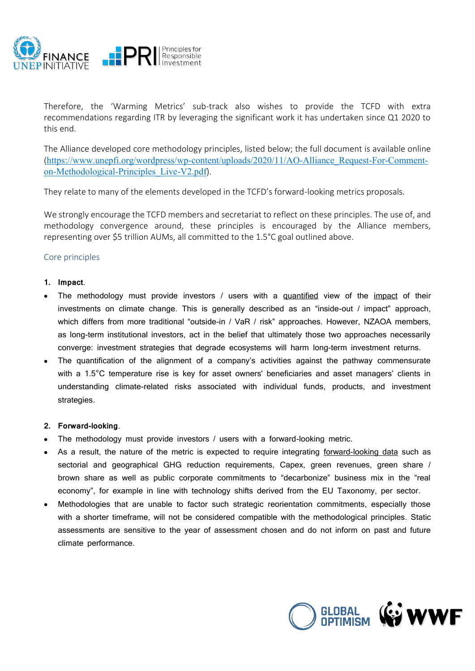

Therefore, the 'Warming Metrics' sub-track also wishes to provide the TCFD with extra recommendations regarding ITR by leveraging the significant work it has undertaken since Q1 2020 to this end.

The Alliance developed core methodology principles, listed below; the full document is available online (https://www.unepfi.org/wordpress/wp-content/uploads/2020/11/AO-Alliance\_Request-For-Commenton-Methodological-Principles\_Live-V2.pdf).

They relate to many of the elements developed in the TCFD's forward-looking metrics proposals.

We strongly encourage the TCFD members and secretariat to reflect on these principles. The use of, and methodology convergence around, these principles is encouraged by the Alliance members, representing over \$5 trillion AUMs, all committed to the 1.5°C goal outlined above.

# Core principles

# **1. Impact**.

- The methodology must provide investors  $\ell$  users with a guantified view of the impact of their investments on climate change. This is generally described as an "inside-out / impact" approach, which differs from more traditional "outside-in / VaR / risk" approaches. However, NZAOA members, as long-term institutional investors, act in the belief that ultimately those two approaches necessarily converge: investment strategies that degrade ecosystems will harm long-term investment returns.
- The quantification of the alignment of a company's activities against the pathway commensurate with a 1.5<sup>°</sup>C temperature rise is key for asset owners' beneficiaries and asset managers' clients in understanding climate-related risks associated with individual funds, products, and investment strategies.

# **2. Forward-looking**.

- $\bullet$  The methodology must provide investors / users with a forward-looking metric.
- As a result, the nature of the metric is expected to require integrating forward-looking data such as sectorial and geographical GHG reduction requirements, Capex, green revenues, green share / brown share as well as public corporate commitments to "decarbonize" business mix in the "real economy", for example in line with technology shifts derived from the EU Taxonomy, per sector.
- Methodologies that are unable to factor such strategic reorientation commitments, especially those with a shorter timeframe, will not be considered compatible with the methodological principles. Static assessments are sensitive to the year of assessment chosen and do not inform on past and future climate performance.

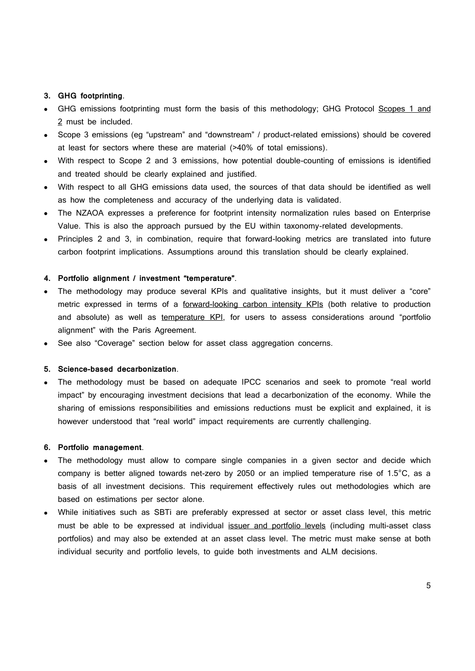### **3. GHG footprinting**.

- GHG emissions footprinting must form the basis of this methodology; GHG Protocol Scopes 1 and 2 must be included.
- Scope 3 emissions (eg "upstream" and "downstream" / product-related emissions) should be covered at least for sectors where these are material (>40% of total emissions).
- With respect to Scope 2 and 3 emissions, how potential double-counting of emissions is identified and treated should be clearly explained and justified.
- With respect to all GHG emissions data used, the sources of that data should be identified as well as how the completeness and accuracy of the underlying data is validated.
- The NZAOA expresses a preference for footprint intensity normalization rules based on Enterprise Value. This is also the approach pursued by the EU within taxonomy-related developments.
- Principles 2 and 3, in combination, require that forward-looking metrics are translated into future carbon footprint implications. Assumptions around this translation should be clearly explained.

#### **4.** Portfolio alignment / investment "temperature".

- The methodology may produce several KPIs and qualitative insights, but it must deliver a "core" metric expressed in terms of a forward-looking carbon intensity KPIs (both relative to production and absolute) as well as temperature KPI, for users to assess considerations around "portfolio alignment" with the Paris Agreement.
- See also "Coverage" section below for asset class aggregation concerns.

#### **5. Science-based decarbonization**.

The methodology must be based on adequate IPCC scenarios and seek to promote "real world impact" by encouraging investment decisions that lead a decarbonization of the economy. While the sharing of emissions responsibilities and emissions reductions must be explicit and explained, it is however understood that "real world" impact requirements are currently challenging.

#### **6. Portfolio management**.

- The methodology must allow to compare single companies in a given sector and decide which company is better aligned towards net-zero by 2050 or an implied temperature rise of 1.5°C, as a basis of all investment decisions. This requirement effectively rules out methodologies which are based on estimations per sector alone.
- x While initiatives such as SBTi are preferably expressed at sector or asset class level, this metric must be able to be expressed at individual issuer and portfolio levels (including multi-asset class portfolios) and may also be extended at an asset class level. The metric must make sense at both individual security and portfolio levels, to guide both investments and ALM decisions.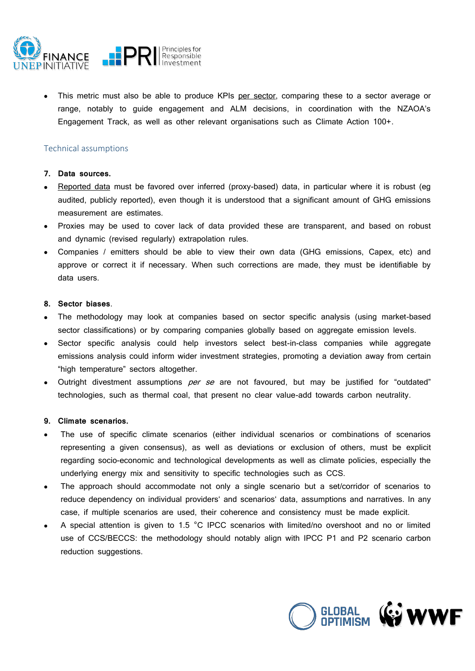

This metric must also be able to produce KPIs per sector, comparing these to a sector average or range, notably to guide engagement and ALM decisions, in coordination with the NZAOA's Engagement Track, as well as other relevant organisations such as Climate Action 100+.

# Technical assumptions

#### **7. Data sources.**

- Reported data must be favored over inferred (proxy-based) data, in particular where it is robust (eq audited, publicly reported), even though it is understood that a significant amount of GHG emissions measurement are estimates.
- Proxies may be used to cover lack of data provided these are transparent, and based on robust and dynamic (revised regularly) extrapolation rules.
- Companies / emitters should be able to view their own data (GHG emissions, Capex, etc) and approve or correct it if necessary. When such corrections are made, they must be identifiable by data users.

### **8. Sector biases**.

- The methodology may look at companies based on sector specific analysis (using market-based sector classifications) or by comparing companies globally based on aggregate emission levels.
- Sector specific analysis could help investors select best-in-class companies while aggregate emissions analysis could inform wider investment strategies, promoting a deviation away from certain "high temperature" sectors altogether.
- Outright divestment assumptions *per se* are not favoured, but may be justified for "outdated" technologies, such as thermal coal, that present no clear value-add towards carbon neutrality.

# **9. Climate scenarios.**

- The use of specific climate scenarios (either individual scenarios or combinations of scenarios representing a given consensus), as well as deviations or exclusion of others, must be explicit regarding socio-economic and technological developments as well as climate policies, especially the underlying energy mix and sensitivity to specific technologies such as CCS.
- The approach should accommodate not only a single scenario but a set/corridor of scenarios to reduce dependency on individual providers' and scenarios' data, assumptions and narratives. In any case, if multiple scenarios are used, their coherence and consistency must be made explicit.
- A special attention is given to 1.5 °C IPCC scenarios with limited/no overshoot and no or limited use of CCS/BECCS: the methodology should notably align with IPCC P1 and P2 scenario carbon reduction suggestions.

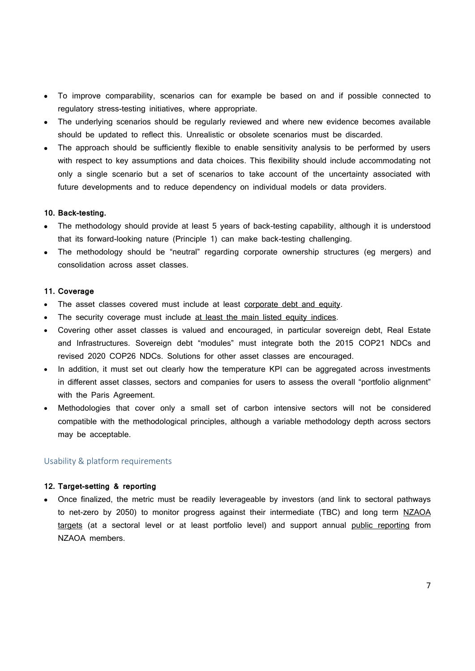- To improve comparability, scenarios can for example be based on and if possible connected to regulatory stress-testing initiatives, where appropriate.
- The underlying scenarios should be regularly reviewed and where new evidence becomes available should be updated to reflect this. Unrealistic or obsolete scenarios must be discarded.
- The approach should be sufficiently flexible to enable sensitivity analysis to be performed by users with respect to key assumptions and data choices. This flexibility should include accommodating not only a single scenario but a set of scenarios to take account of the uncertainty associated with future developments and to reduce dependency on individual models or data providers.

#### **10. Back-testing.**

- The methodology should provide at least 5 years of back-testing capability, although it is understood that its forward-looking nature (Principle 1) can make back-testing challenging.
- The methodology should be "neutral" regarding corporate ownership structures (eg mergers) and consolidation across asset classes.

#### **11. Coverage**

- The asset classes covered must include at least corporate debt and equity.
- The security coverage must include at least the main listed equity indices.
- Covering other asset classes is valued and encouraged, in particular sovereign debt, Real Estate and Infrastructures. Sovereign debt "modules" must integrate both the 2015 COP21 NDCs and revised 2020 COP26 NDCs. Solutions for other asset classes are encouraged.
- In addition, it must set out clearly how the temperature KPI can be aggregated across investments in different asset classes, sectors and companies for users to assess the overall "portfolio alignment" with the Paris Agreement.
- Methodologies that cover only a small set of carbon intensive sectors will not be considered compatible with the methodological principles, although a variable methodology depth across sectors may be acceptable.

#### Usability & platform requirements

# **12. Target-setting & reporting**

x Once finalized, the metric must be readily leverageable by investors (and link to sectoral pathways to net-zero by 2050) to monitor progress against their intermediate (TBC) and long term NZAOA targets (at a sectoral level or at least portfolio level) and support annual public reporting from NZAOA members.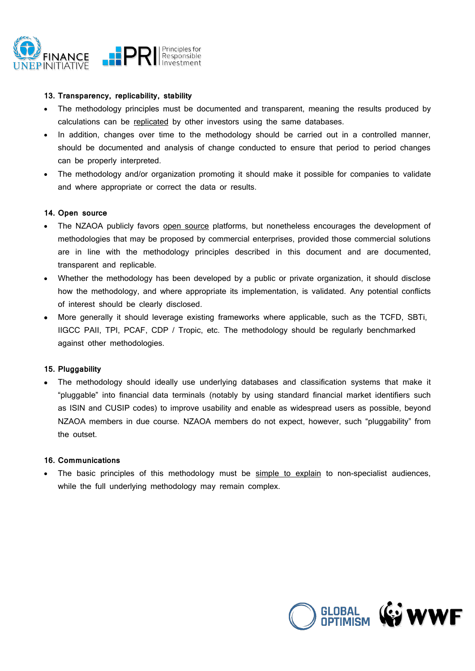

### **13. Transparency, replicability, stability**

- The methodology principles must be documented and transparent, meaning the results produced by calculations can be replicated by other investors using the same databases.
- In addition, changes over time to the methodology should be carried out in a controlled manner, should be documented and analysis of change conducted to ensure that period to period changes can be properly interpreted.
- The methodology and/or organization promoting it should make it possible for companies to validate and where appropriate or correct the data or results.

#### **14. Open source**

- The NZAOA publicly favors open source platforms, but nonetheless encourages the development of methodologies that may be proposed by commercial enterprises, provided those commercial solutions are in line with the methodology principles described in this document and are documented, transparent and replicable.
- Whether the methodology has been developed by a public or private organization, it should disclose how the methodology, and where appropriate its implementation, is validated. Any potential conflicts of interest should be clearly disclosed.
- More generally it should leverage existing frameworks where applicable, such as the TCFD, SBTi, IIGCC PAII, TPI, PCAF, CDP / Tropic, etc. The methodology should be regularly benchmarked against other methodologies.

# **15. Pluggability**

The methodology should ideally use underlying databases and classification systems that make it ˶˟˛ˤ˖˖ab˛˔˷ ˘˝ˣ˞ ˕˘˝a˝c˘a˛ ˓aˣa ˣ˔ˡ˜˘˝a˛ˢ (notably by using standard financial market identifiers such as ISIN and CUSIP codes) to improve usability and enable as widespread users as possible, beyond NZAOA members in due course. NZAOA members do not expect, however, such "pluggability" from the outset.

# **16. Communications**

The basic principles of this methodology must be simple to explain to non-specialist audiences, while the full underlying methodology may remain complex.